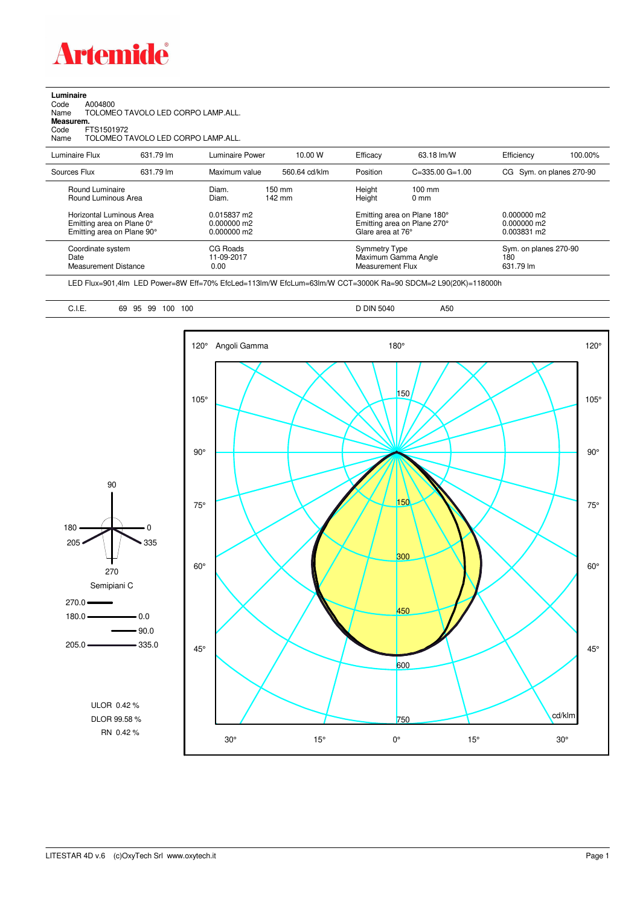

|  | Luminaire |  |  |
|--|-----------|--|--|
|  |           |  |  |

Code A004800 Name TOLOMEO TAVOLO LED CORPO LAMP.ALL. **Measurem.**

Code FTS1501972 Name TOLOMEO TAVOLO LED CORPO LAMP.ALL.

| Luminaire Flux                                                                                                                       | 631.79 lm | Luminaire Power                                                 | 10.00 W                    | Efficacy                              | 63.18 lm/W                                                                                       | Efficiency                                    | 100.00% |
|--------------------------------------------------------------------------------------------------------------------------------------|-----------|-----------------------------------------------------------------|----------------------------|---------------------------------------|--------------------------------------------------------------------------------------------------|-----------------------------------------------|---------|
| Sources Flux                                                                                                                         | 631.79 lm | Maximum value                                                   | 560.64 cd/klm              | Position                              | $C = 335.00$ $G = 1.00$                                                                          | CG Sym. on planes 270-90                      |         |
| Round Luminaire<br>Round Luminous Area<br><b>Horizontal Luminous Area</b><br>Emitting area on Plane 0°<br>Emitting area on Plane 90° |           | Diam.<br>Diam.<br>0.015837 m2<br>$0.000000$ m2<br>$0.000000$ m2 | $150 \text{ mm}$<br>142 mm | Height<br>Height<br>Glare area at 76° | $100 \text{ mm}$<br>$0 \text{ mm}$<br>Emitting area on Plane 180°<br>Emitting area on Plane 270° | $0.000000$ m2<br>$0.000000$ m2<br>0.003831 m2 |         |
| Coordinate system<br>Date<br>Measurement Distance                                                                                    |           | CG Roads<br>11-09-2017<br>0.00                                  |                            | Symmetry Type<br>Measurement Flux     | Maximum Gamma Angle                                                                              | Sym. on planes 270-90<br>180<br>631.79 lm     |         |

LED Flux=901,4lm LED Power=8W Eff=70% EfcLed=113lm/W EfcLum=63lm/W CCT=3000K Ra=90 SDCM=2 L90(20K)=118000h